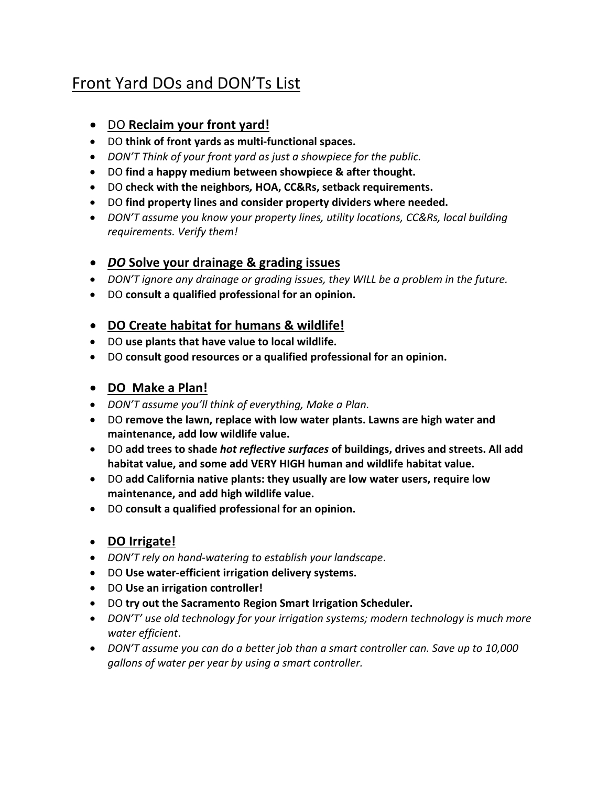# Front Yard DOs and DON'Ts List

## • DO **Reclaim your front yard!**

- DO **think of front yards as multi-functional spaces.**
- *DON'T Think of your front yard as just a showpiece for the public.*
- DO **find a happy medium between showpiece & after thought.**
- DO **check with the neighbors***,* **HOA, CC&Rs, setback requirements.**
- DO **find property lines and consider property dividers where needed.**
- *DON'T assume you know your property lines, utility locations, CC&Rs, local building requirements. Verify them!*

#### • *DO* **Solve your drainage & grading issues**

- *DON'T ignore any drainage or grading issues, they WILL be a problem in the future.*
- DO **consult a qualified professional for an opinion.**

#### • **DO Create habitat for humans & wildlife!**

- DO **use plants that have value to local wildlife.**
- DO **consult good resources or a qualified professional for an opinion.**

#### • **DO Make a Plan!**

- *DON'T assume you'll think of everything, Make a Plan.*
- DO **remove the lawn, replace with low water plants. Lawns are high water and maintenance, add low wildlife value.**
- DO **add trees to shade** *hot reflective surfaces* **of buildings, drives and streets. All add habitat value, and some add VERY HIGH human and wildlife habitat value.**
- DO **add California native plants: they usually are low water users, require low maintenance, and add high wildlife value.**
- DO **consult a qualified professional for an opinion.**

#### • **DO Irrigate!**

- *DON'T rely on hand-watering to establish your landscape*.
- DO **Use water-efficient irrigation delivery systems.**
- DO **Use an irrigation controller!**
- DO **try out the Sacramento Region Smart Irrigation Scheduler.**
- *DON'T' use old technology for your irrigation systems; modern technology is much more water efficient*.
- *DON'T assume you can do a better job than a smart controller can. Save up to 10,000 gallons of water per year by using a smart controller.*